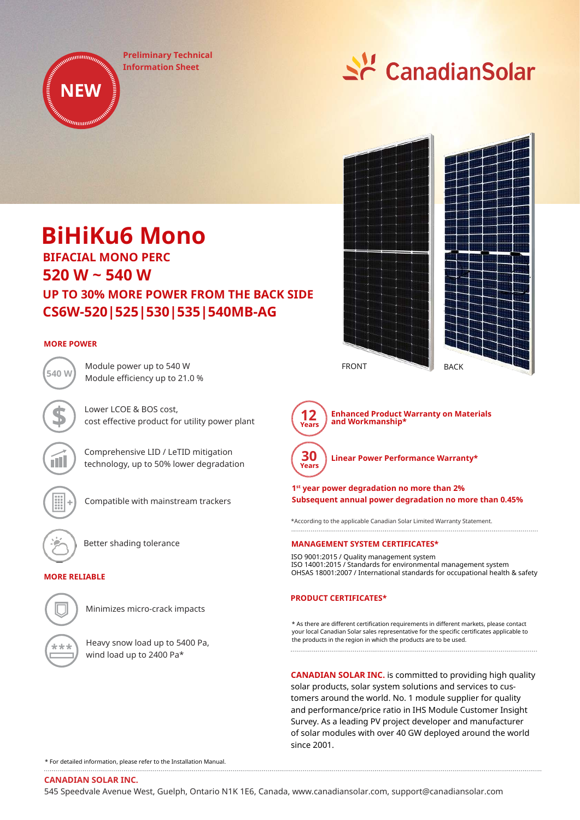**Preliminary Technical Information Sheet**



# **BiHiKu6 Mono**

**520 W ~ 540 W CS6W-520|525|530|535|540MB-AG UP TO 30% MORE POWER FROM THE BACK SIDE BIFACIAL MONO PERC**

# **MORE POWER**

Module power up to 540 W Module efficiency up to 21.0 % **540 W**

> Lower LCOE & BOS cost, cost effective product for utility power plant

Comprehensive LID / LeTID mitigation technology, up to 50% lower degradation



Compatible with mainstream trackers

Better shading tolerance

# **MORE RELIABLE**



Minimizes micro-crack impacts

Heavy snow load up to 5400 Pa, wind load up to 2400 Pa\*





**Enhanced Product Warranty on Materials and Workmanship\***

**Linear Power Performance Warranty\***

# **1 st year power degradation no more than 2% Subsequent annual power degradation no more than 0.45%**

\*According to the applicable Canadian Solar Limited Warranty Statement.

# **MANAGEMENT SYSTEM CERTIFICATES\***

ISO 9001:2015 / Quality management system ISO 14001:2015 / Standards for environmental management system OHSAS 18001:2007 / International standards for occupational health & safety

# **PRODUCT CERTIFICATES\***

\* As there are different certification requirements in different markets, please contact your local Canadian Solar sales representative for the specific certificates applicable to the products in the region in which the products are to be used.

**CANADIAN SOLAR INC.** is committed to providing high quality solar products, solar system solutions and services to customers around the world. No. 1 module supplier for quality and performance/price ratio in IHS Module Customer Insight Survey. As a leading PV project developer and manufacturer of solar modules with over 40 GW deployed around the world since 2001.

\* For detailed information, please refer to the Installation Manual.

**CANADIAN SOLAR INC.**